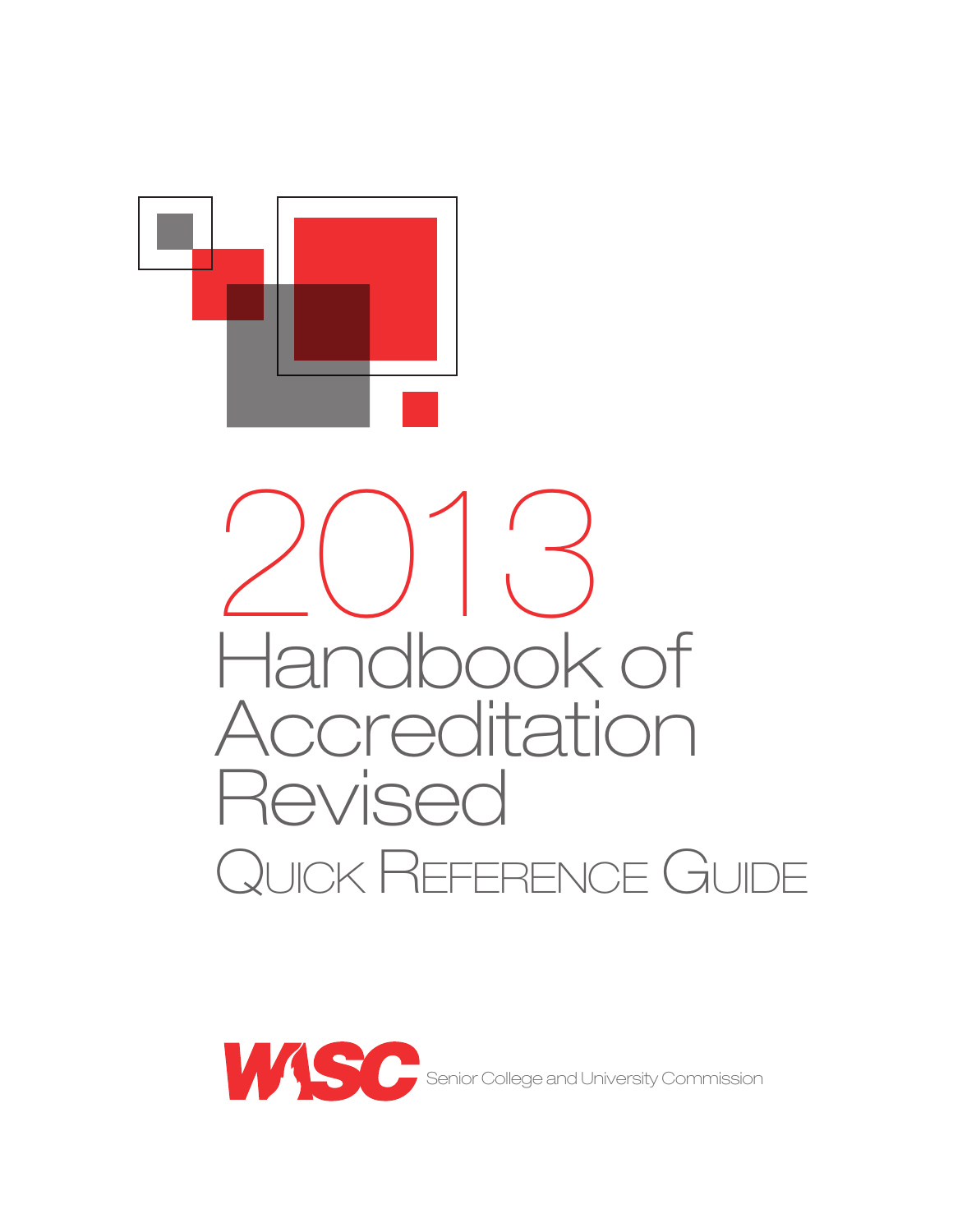

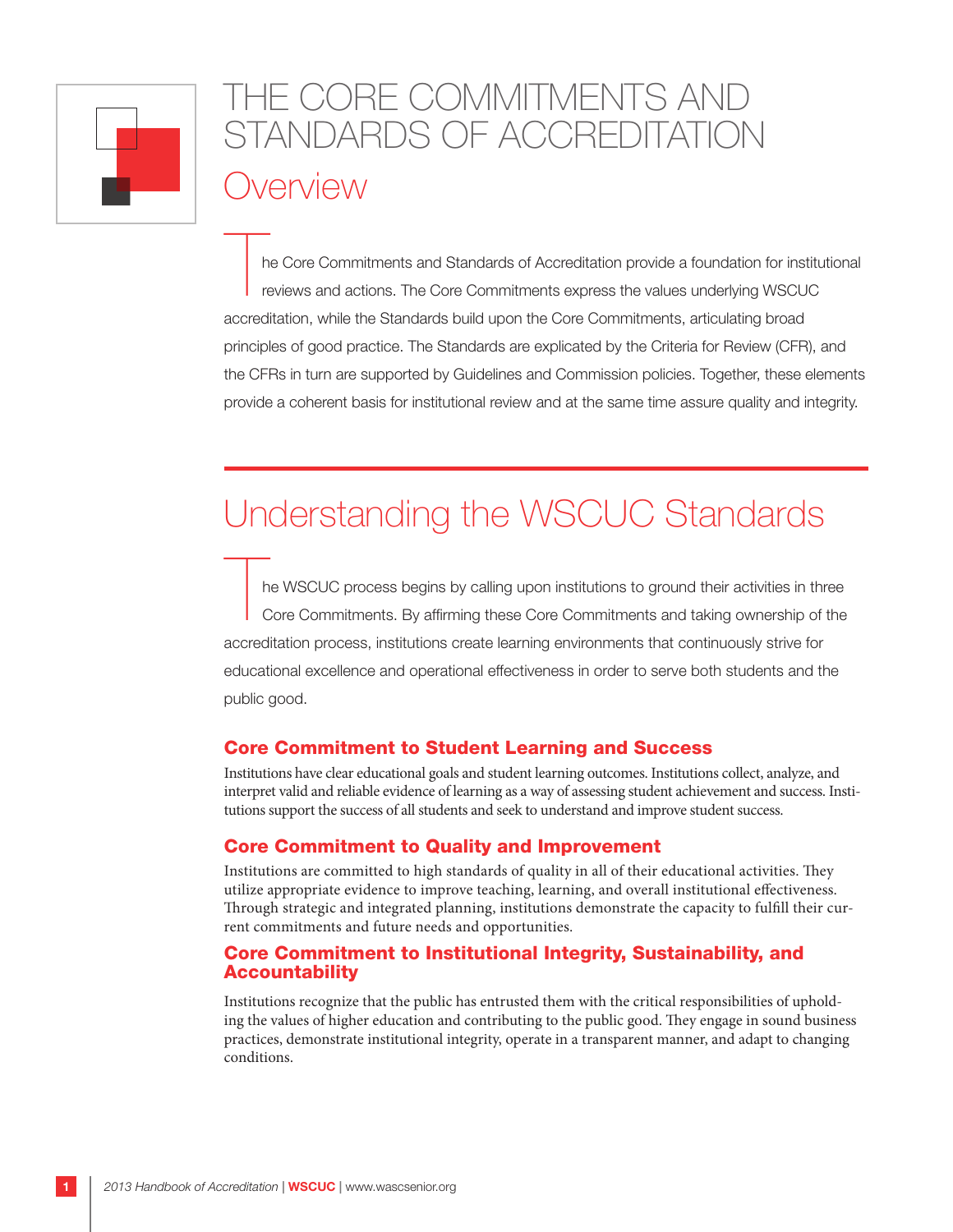

# HE CORE COMMITMENTS AND STANDARDS OF ACCREDITATION Overview

The Core Commitments and Standards of Accreditation provide a foundation for institutional<br>reviews and actions. The Core Commitments express the values underlying WSCUC reviews and actions. The Core Commitments express the values underlying WSCUC accreditation, while the Standards build upon the Core Commitments, articulating broad principles of good practice. The Standards are explicated by the Criteria for Review (CFR), and the CFRs in turn are supported by Guidelines and Commission policies. Together, these elements provide a coherent basis for institutional review and at the same time assure quality and integrity.

# Understanding the WSCUC Standards

he WSCUC process begins by calling upon institutions to ground their activities in three Core Commitments. By affirming these Core Commitments and taking ownership of the accreditation process, institutions create learning environments that continuously strive for educational excellence and operational effectiveness in order to serve both students and the public good.

#### Core Commitment to Student Learning and Success

Institutions have clear educational goals and student learning outcomes. Institutions collect, analyze, and interpret valid and reliable evidence of learning as a way of assessing student achievement and success. Institutions support the success of all students and seek to understand and improve student success.

#### Core Commitment to Quality and Improvement

Institutions are committed to high standards of quality in all of their educational activities. They utilize appropriate evidence to improve teaching, learning, and overall institutional effectiveness. Through strategic and integrated planning, institutions demonstrate the capacity to fulfill their current commitments and future needs and opportunities.

#### Core Commitment to Institutional Integrity, Sustainability, and Accountability

Institutions recognize that the public has entrusted them with the critical responsibilities of upholding the values of higher education and contributing to the public good. They engage in sound business practices, demonstrate institutional integrity, operate in a transparent manner, and adapt to changing conditions.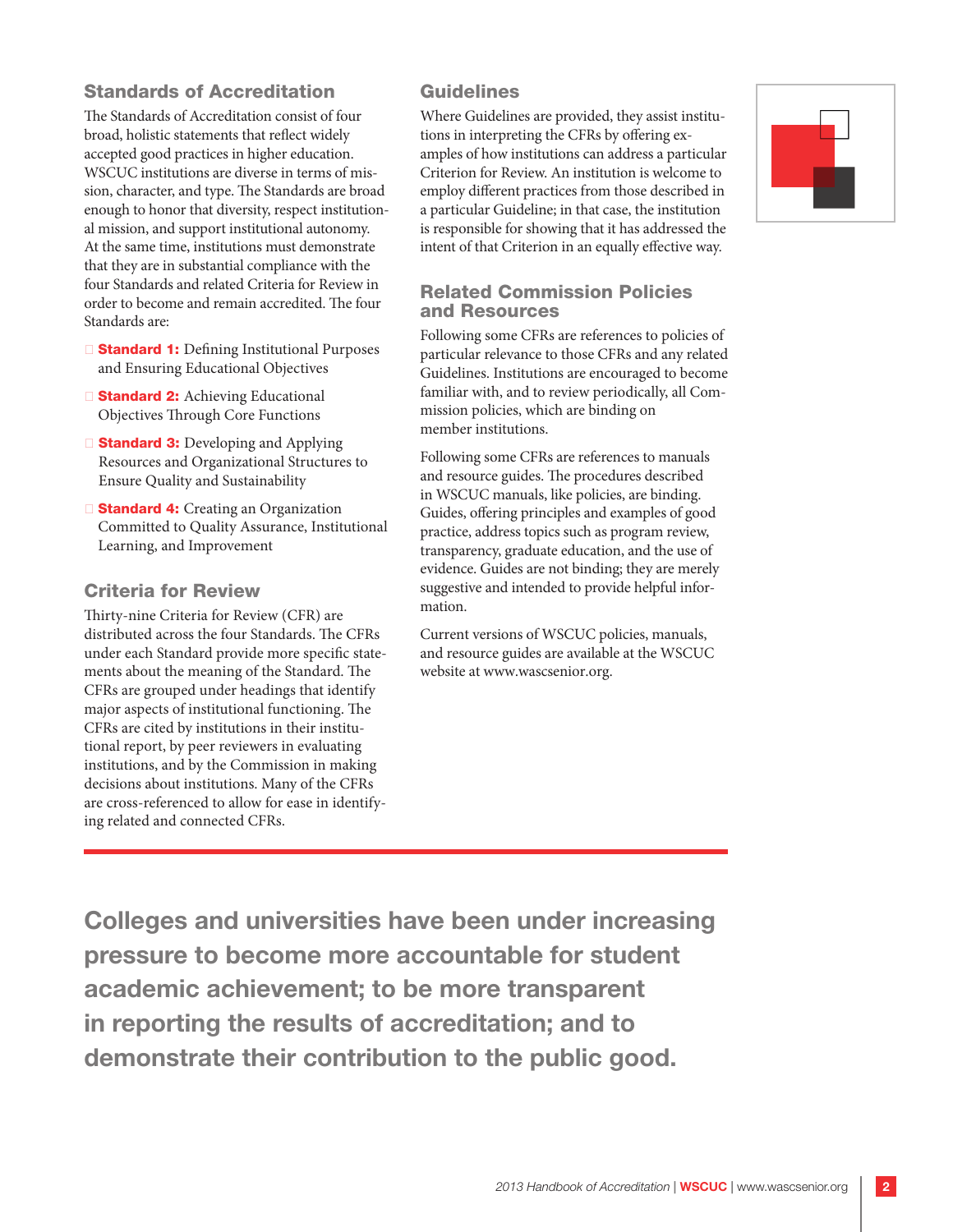#### Standards of Accreditation

The Standards of Accreditation consist of four broad, holistic statements that reflect widely accepted good practices in higher education. WSCUC institutions are diverse in terms of mission, character, and type. The Standards are broad enough to honor that diversity, respect institutional mission, and support institutional autonomy. At the same time, institutions must demonstrate that they are in substantial compliance with the four Standards and related Criteria for Review in order to become and remain accredited. The four Standards are:

- G Standard 1: Defining Institutional Purposes and Ensuring Educational Objectives
- G Standard 2: Achieving Educational Objectives Through Core Functions
- $\square$  **Standard 3:** Developing and Applying Resources and Organizational Structures to Ensure Quality and Sustainability
- G Standard 4: Creating an Organization Committed to Quality Assurance, Institutional Learning, and Improvement

#### Criteria for Review

Thirty-nine Criteria for Review (CFR) are distributed across the four Standards. The CFRs under each Standard provide more specific statements about the meaning of the Standard. The CFRs are grouped under headings that identify major aspects of institutional functioning. The CFRs are cited by institutions in their institutional report, by peer reviewers in evaluating institutions, and by the Commission in making decisions about institutions. Many of the CFRs are cross-referenced to allow for ease in identifying related and connected CFRs.

#### Guidelines

Where Guidelines are provided, they assist institutions in interpreting the CFRs by offering examples of how institutions can address a particular Criterion for Review. An institution is welcome to employ different practices from those described in a particular Guideline; in that case, the institution is responsible for showing that it has addressed the intent of that Criterion in an equally effective way.

#### Related Commission Policies and Resources

Following some CFRs are references to policies of particular relevance to those CFRs and any related Guidelines. Institutions are encouraged to become familiar with, and to review periodically, all Commission policies, which are binding on member institutions.

Following some CFRs are references to manuals and resource guides. The procedures described in WSCUC manuals, like policies, are binding. Guides, offering principles and examples of good practice, address topics such as program review, transparency, graduate education, and the use of evidence. Guides are not binding; they are merely suggestive and intended to provide helpful information.

Current versions of WSCUC policies, manuals, and resource guides are available at the WSCUC website at www.wascsenior.org.

Colleges and universities have been under increasing pressure to become more accountable for student academic achievement; to be more transparent in reporting the results of accreditation; and to demonstrate their contribution to the public good.

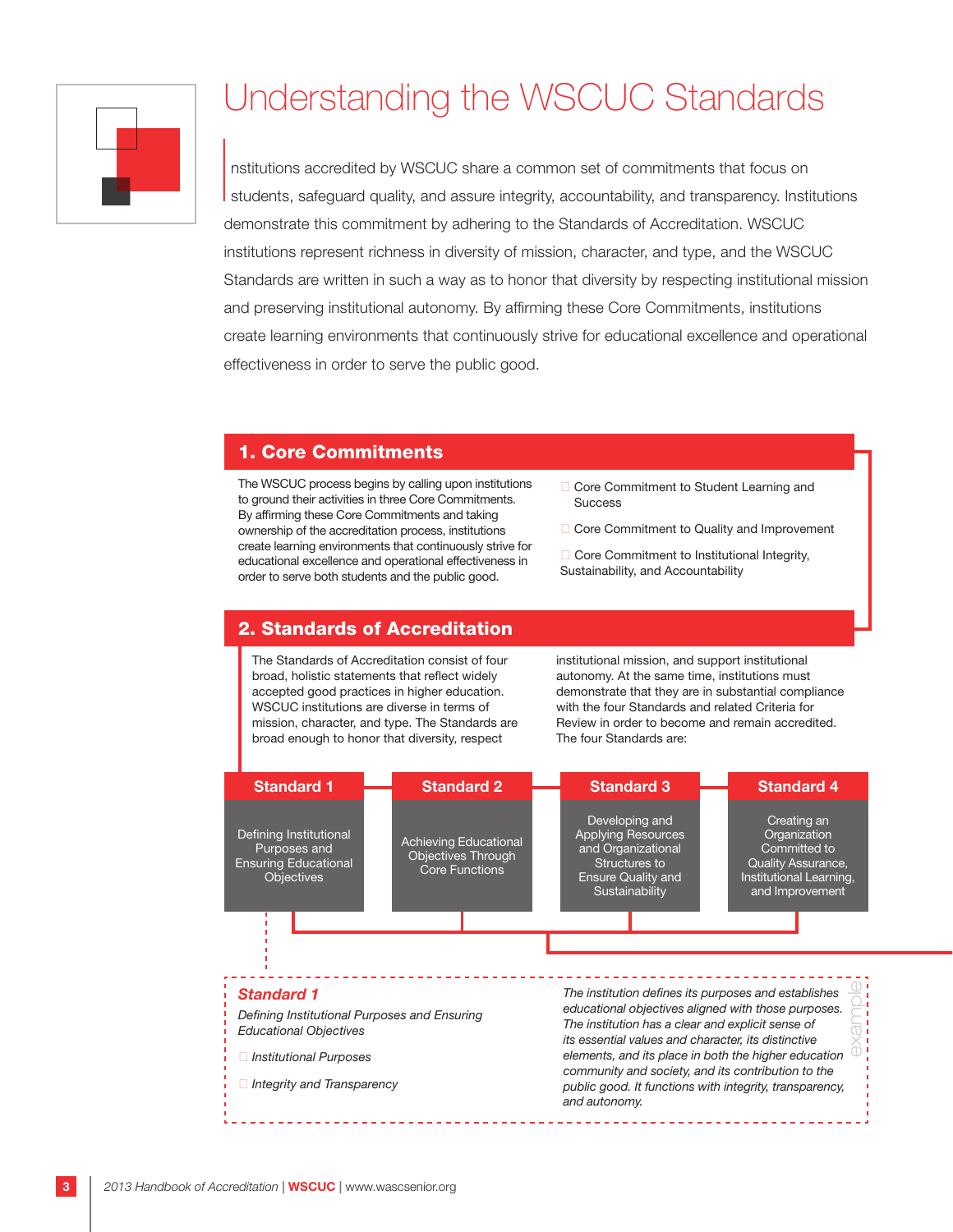

# Understanding the WSCUC Standards

I nstitutions accredited by WSCUC share a common set of commitments that focus on students, safeguard quality, and assure integrity, accountability, and transparency. Institutions demonstrate this commitment by adhering to the Standards of Accreditation. WSCUC institutions represent richness in diversity of mission, character, and type, and the WSCUC Standards are written in such a way as to honor that diversity by respecting institutional mission and preserving institutional autonomy. By affirming these Core Commitments, institutions create learning environments that continuously strive for educational excellence and operational effectiveness in order to serve the public good.

#### 1. Core Commitments

The WSCUC process begins by calling upon institutions to ground their activities in three Core Commitments. By affirming these Core Commitments and taking ownership of the accreditation process, institutions create learning environments that continuously strive for educational excellence and operational effectiveness in order to serve both students and the public good.

- □ Core Commitment to Student Learning and **Success**
- □ Core Commitment to Quality and Improvement
- $\Box$  Core Commitment to Institutional Integrity, Sustainability, and Accountability

#### 2. Standards of Accreditation

The Standards of Accreditation consist of four broad, holistic statements that reflect widely accepted good practices in higher education. WSCUC institutions are diverse in terms of mission, character, and type. The Standards are broad enough to honor that diversity, respect

institutional mission, and support institutional autonomy. At the same time, institutions must demonstrate that they are in substantial compliance with the four Standards and related Criteria for Review in order to become and remain accredited. The four Standards are:

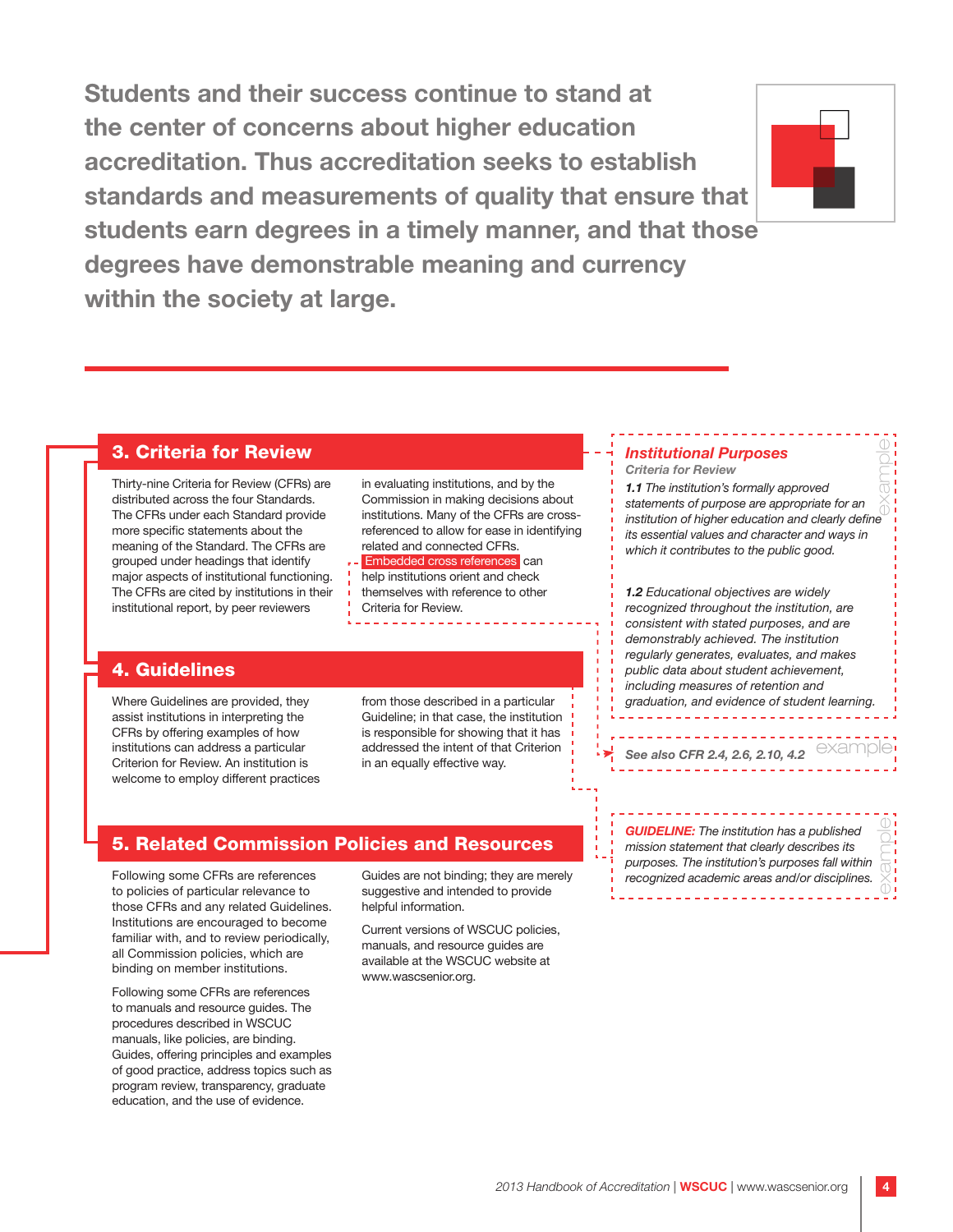Students and their success continue to stand at the center of concerns about higher education accreditation. Thus accreditation seeks to establish standards and measurements of quality that ensure that students earn degrees in a timely manner, and that those degrees have demonstrable meaning and currency within the society at large.



#### 3. Criteria for Review

Thirty-nine Criteria for Review (CFRs) are distributed across the four Standards. The CFRs under each Standard provide more specific statements about the meaning of the Standard. The CFRs are grouped under headings that identify major aspects of institutional functioning. The CFRs are cited by institutions in their institutional report, by peer reviewers

in evaluating institutions, and by the Commission in making decisions about institutions. Many of the CFRs are crossreferenced to allow for ease in identifying related and connected CFRs.

 Embedded cross references can help institutions orient and check

- themselves with reference to other Criteria for Review.
- 

#### 4. Guidelines

Where Guidelines are provided, they assist institutions in interpreting the CFRs by offering examples of how institutions can address a particular Criterion for Review. An institution is welcome to employ different practices from those described in a particular Guideline; in that case, the institution is responsible for showing that it has addressed the intent of that Criterion in an equally effective way.

#### 5. Related Commission Policies and Resources

Following some CFRs are references to policies of particular relevance to those CFRs and any related Guidelines. Institutions are encouraged to become familiar with, and to review periodically, all Commission policies, which are binding on member institutions.

Following some CFRs are references to manuals and resource guides. The procedures described in WSCUC manuals, like policies, are binding. Guides, offering principles and examples of good practice, address topics such as program review, transparency, graduate education, and the use of evidence.

Guides are not binding; they are merely suggestive and intended to provide helpful information.

Current versions of WSCUC policies, manuals, and resource guides are available at the WSCUC website at www.wascsenior.org.

#### *Institutional Purposes Criteria for Review*

*1.1 The institution's formally approved statements of purpose are appropriate for an institution of higher education and clearly define its essential values and character and ways in which it contributes to the public good.* example

*1.2 Educational objectives are widely recognized throughout the institution, are consistent with stated purposes, and are demonstrably achieved. The institution regularly generates, evaluates, and makes public data about student achievement, including measures of retention and graduation, and evidence of student learning.* 

**See also CFR 2.4, 2.6, 2.10, 4.2** example <u>\_\_\_\_\_\_\_\_\_\_\_\_\_\_\_\_\_\_</u>\_\_

*GUIDELINE: The institution has a published mission statement that clearly describes its purposes. The institution's purposes fall within recognized academic areas and/or disciplines.*

example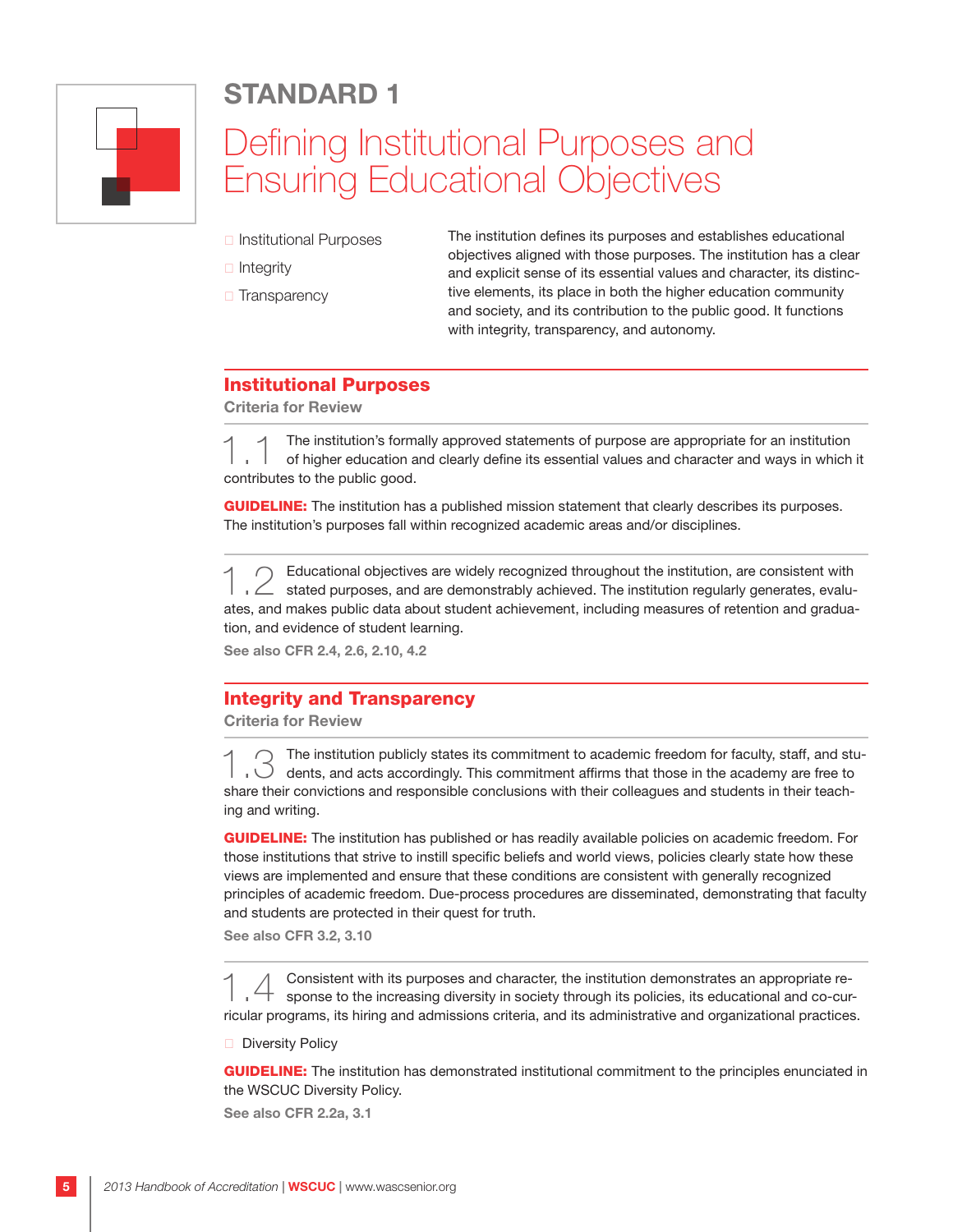

## Defining Institutional Purposes and Ensuring Educational Objectives

- **a** Institutional Purposes
- $\Box$  Integrity
- $\Box$  Transparency

The institution defines its purposes and establishes educational objectives aligned with those purposes. The institution has a clear and explicit sense of its essential values and character, its distinctive elements, its place in both the higher education community and society, and its contribution to the public good. It functions with integrity, transparency, and autonomy.

#### Institutional Purposes

Criteria for Review

The institution's formally approved statements of purpose are appropriate for an institution<br>
of higher education and clearly define its essential values and character and ways in which it contributes to the public good.

**GUIDELINE:** The institution has a published mission statement that clearly describes its purposes. The institution's purposes fall within recognized academic areas and/or disciplines.

Educational objectives are widely recognized throughout the institution, are consistent with stated purposes, and are demonstrably achieved. The institution regularly generates, evaluates, and makes public data about student achievement, including measures of retention and graduation, and evidence of student learning.

See also CFR 2.4, 2.6, 2.10, 4.2

#### Integrity and Transparency

Criteria for Review

The institution publicly states its commitment to academic freedom for faculty, staff, and stu-<br>
dents, and acts accordingly. This commitment affirms that those in the academy are free to share their convictions and responsible conclusions with their colleagues and students in their teaching and writing.

GUIDELINE: The institution has published or has readily available policies on academic freedom. For those institutions that strive to instill specific beliefs and world views, policies clearly state how these views are implemented and ensure that these conditions are consistent with generally recognized principles of academic freedom. Due-process procedures are disseminated, demonstrating that faculty and students are protected in their quest for truth.

See also CFR 3.2, 3.10

1.4 Consistent with its purposes and character, the institution demonstrates an appropriate re-sponse to the increasing diversity in society through its policies, its educational and co-curricular programs, its hiring and admissions criteria, and its administrative and organizational practices.

**Diversity Policy** 

**GUIDELINE:** The institution has demonstrated institutional commitment to the principles enunciated in the WSCUC Diversity Policy.

See also CFR 2.2a, 3.1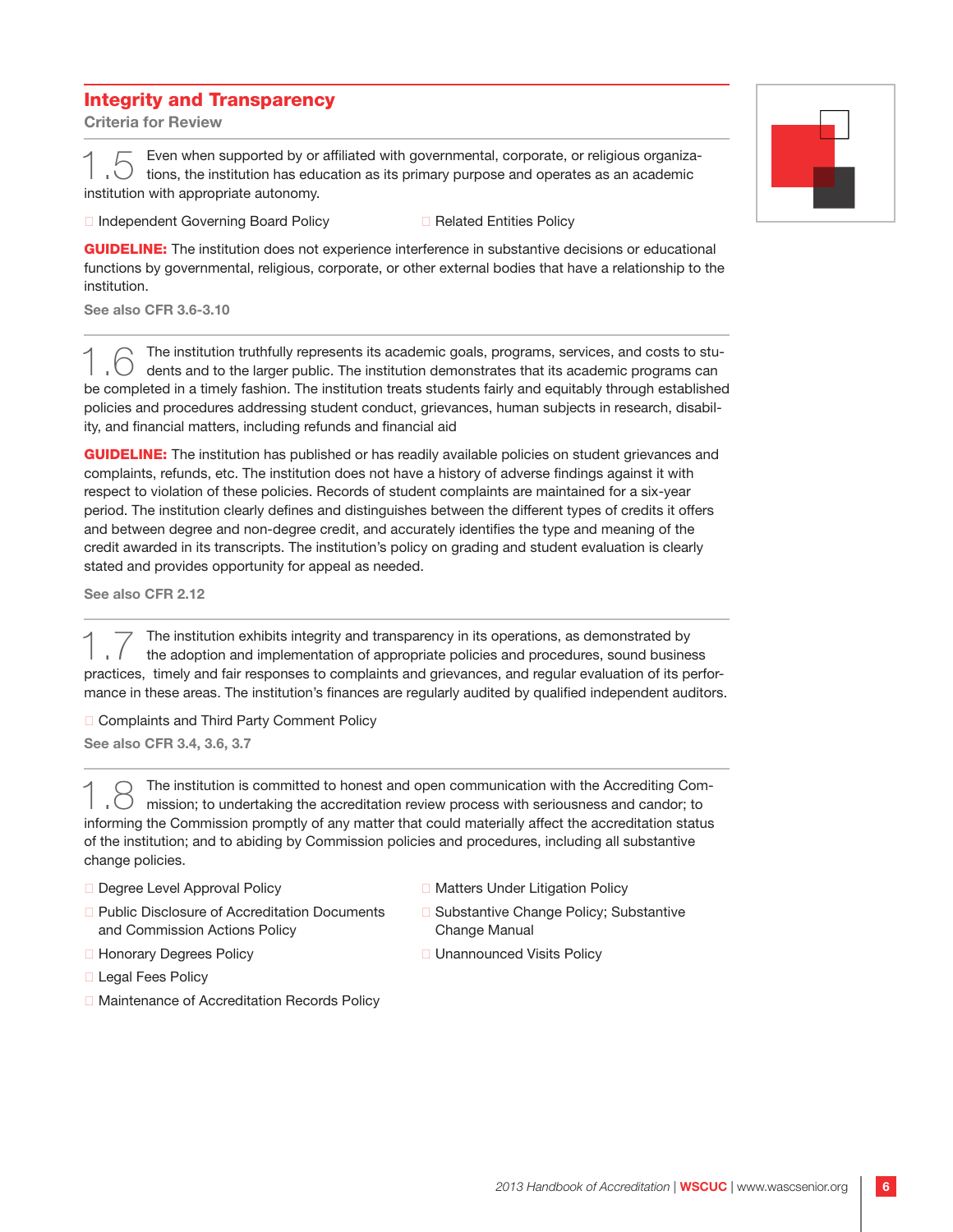#### Integrity and Transparency

Criteria for Review

Figure 1.5 Even when supported by or affiliated with governmental, corporate, or religious organizations, the institution has education as its primary purpose and operates as an academic institution with appropriate autonomy.

□ Independent Governing Board Policy <br>□ Related Entities Policy

GUIDELINE: The institution does not experience interference in substantive decisions or educational functions by governmental, religious, corporate, or other external bodies that have a relationship to the institution.

See also CFR 3.6-3.10

The institution truthfully represents its academic goals, programs, services, and costs to students and to the larger public. The institution demonstrates that its academic programs can be completed in a timely fashion. The institution treats students fairly and equitably through established policies and procedures addressing student conduct, grievances, human subjects in research, disability, and financial matters, including refunds and financial aid

GUIDELINE: The institution has published or has readily available policies on student grievances and complaints, refunds, etc. The institution does not have a history of adverse findings against it with respect to violation of these policies. Records of student complaints are maintained for a six-year period. The institution clearly defines and distinguishes between the different types of credits it offers and between degree and non-degree credit, and accurately identifies the type and meaning of the credit awarded in its transcripts. The institution's policy on grading and student evaluation is clearly stated and provides opportunity for appeal as needed.

See also CFR 2.12

The institution exhibits integrity and transparency in its operations, as demonstrated by the adoption and implementation of appropriate policies and procedures, sound business practices, timely and fair responses to complaints and grievances, and regular evaluation of its performance in these areas. The institution's finances are regularly audited by qualified independent auditors.

□ Complaints and Third Party Comment Policy

See also CFR 3.4, 3.6, 3.7

The institution is committed to honest and open communication with the Accrediting Commission; to undertaking the accreditation review process with seriousness and candor; to informing the Commission promptly of any matter that could materially affect the accreditation status of the institution; and to abiding by Commission policies and procedures, including all substantive change policies.

- Degree Level Approval Policy
- □ Public Disclosure of Accreditation Documents and Commission Actions Policy
- **B** Honorary Degrees Policy
- **Legal Fees Policy**
- □ Maintenance of Accreditation Records Policy
- □ Matters Under Litigation Policy
- □ Substantive Change Policy; Substantive Change Manual
- Unannounced Visits Policy

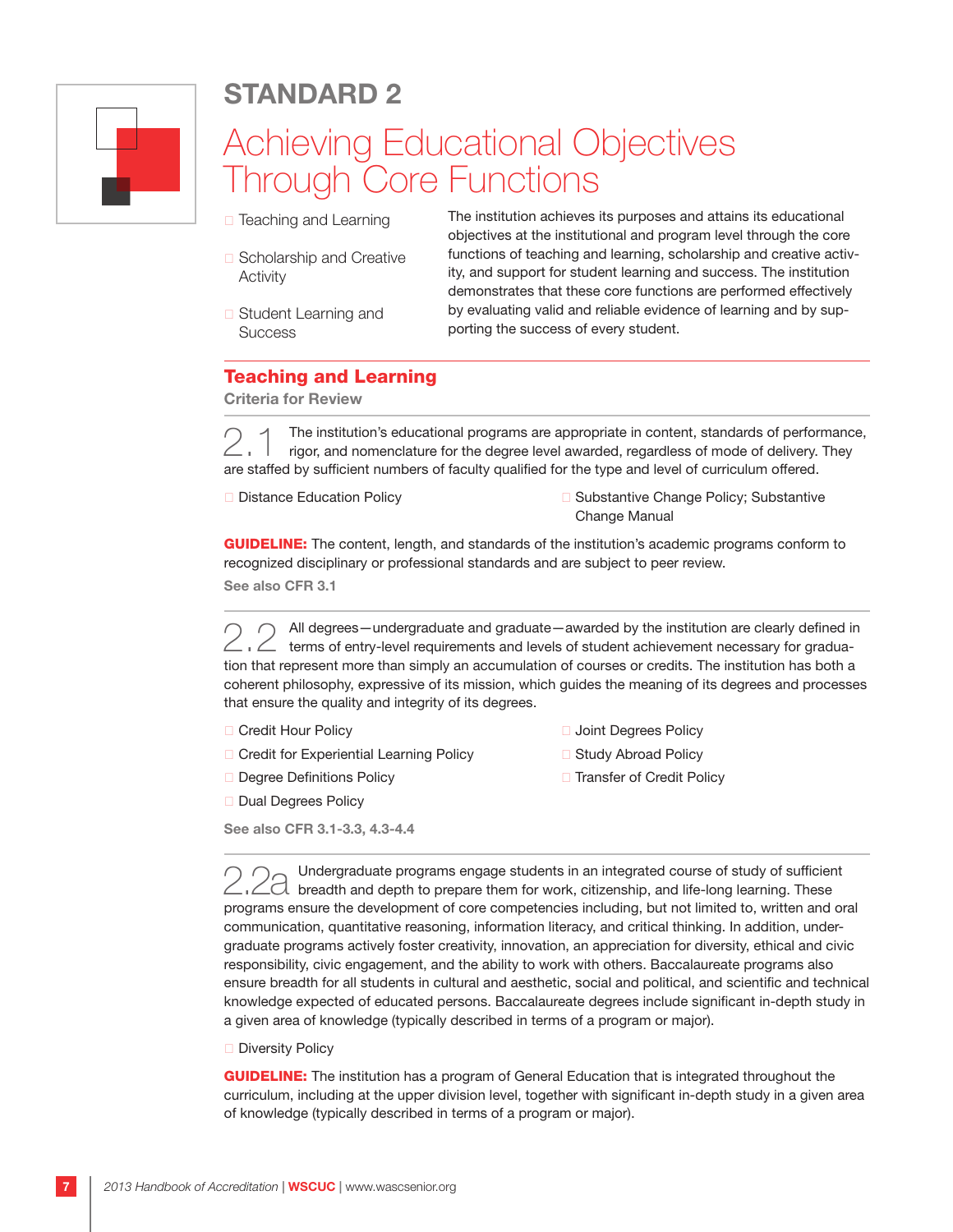

## Achieving Educational Objectives Through Core Functions

- **□ Teaching and Learning**
- □ Scholarship and Creative Activity

The institution achieves its purposes and attains its educational objectives at the institutional and program level through the core functions of teaching and learning, scholarship and creative activity, and support for student learning and success. The institution demonstrates that these core functions are performed effectively by evaluating valid and reliable evidence of learning and by supporting the success of every student.

**□** Student Learning and **Success** 

#### Teaching and Learning

Criteria for Review

2.1 The institution's educational programs are appropriate in content, standards of performance, rigor, and nomenclature for the degree level awarded, regardless of mode of delivery. They are staffed by sufficient numbers of faculty qualified for the type and level of curriculum offered.

□ Distance Education Policy a Substantive Change Policy; Substantive Change Manual

**GUIDELINE:** The content, length, and standards of the institution's academic programs conform to recognized disciplinary or professional standards and are subject to peer review.

See also CFR 3.1

2. 2 All degrees—undergraduate and graduate—awarded by the institution are clearly defined in<br>
1. 2. 2. 2 terms of entry-level requirements and levels of student achievement necessary for graduation that represent more than simply an accumulation of courses or credits. The institution has both a coherent philosophy, expressive of its mission, which guides the meaning of its degrees and processes that ensure the quality and integrity of its degrees.

- **D** Credit Hour Policy
- □ Credit for Experiential Learning Policy
- **D** Degree Definitions Policy
- **D** Dual Degrees Policy

See also CFR 3.1-3.3, 4.3-4.4

- □ Joint Degrees Policy
- □ Study Abroad Policy
- **Transfer of Credit Policy**

2.2a Undergraduate programs engage students in an integrated course of study of sufficient<br>2.2a breadth and depth to prepare them for work, citizenship, and life-long learning. These programs ensure the development of core competencies including, but not limited to, written and oral communication, quantitative reasoning, information literacy, and critical thinking. In addition, undergraduate programs actively foster creativity, innovation, an appreciation for diversity, ethical and civic responsibility, civic engagement, and the ability to work with others. Baccalaureate programs also ensure breadth for all students in cultural and aesthetic, social and political, and scientific and technical knowledge expected of educated persons. Baccalaureate degrees include significant in-depth study in a given area of knowledge (typically described in terms of a program or major).

#### □ Diversity Policy

**GUIDELINE:** The institution has a program of General Education that is integrated throughout the curriculum, including at the upper division level, together with significant in-depth study in a given area of knowledge (typically described in terms of a program or major).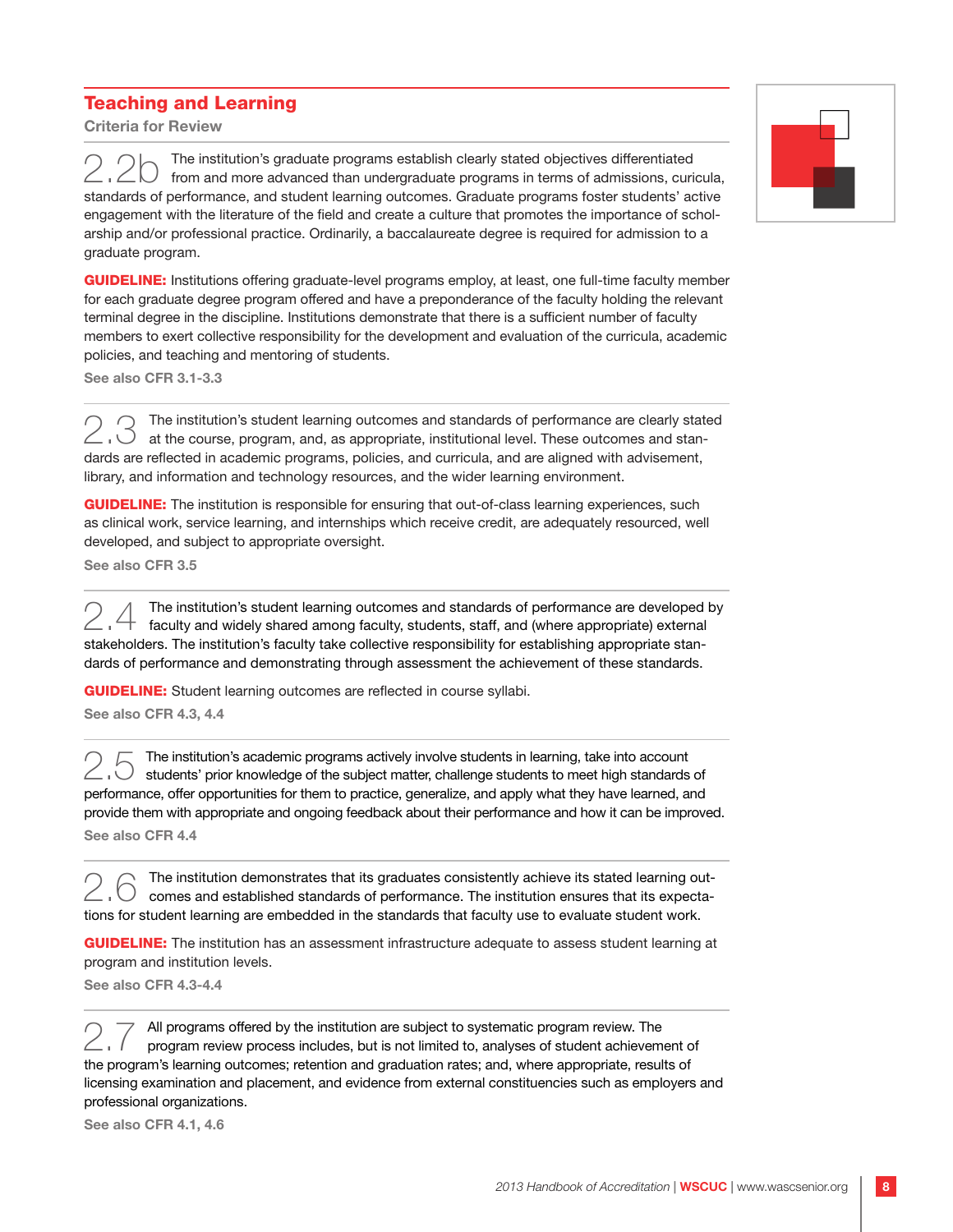#### Teaching and Learning

Criteria for Review



200 The institution's graduate programs establish clearly stated objectives differentiated from and more advanced than undergraduate programs in terms of admissions, curicula, standards of performance, and student learning outcomes. Graduate programs foster students' active engagement with the literature of the field and create a culture that promotes the importance of scholarship and/or professional practice. Ordinarily, a baccalaureate degree is required for admission to a graduate program.

GUIDELINE: Institutions offering graduate-level programs employ, at least, one full-time faculty member for each graduate degree program offered and have a preponderance of the faculty holding the relevant terminal degree in the discipline. Institutions demonstrate that there is a sufficient number of faculty members to exert collective responsibility for the development and evaluation of the curricula, academic policies, and teaching and mentoring of students.

See also CFR 3.1-3.3

◯ ◯ The institution's student learning outcomes and standards of performance are clearly stated at the course, program, and, as appropriate, institutional level. These outcomes and standards are reflected in academic programs, policies, and curricula, and are aligned with advisement, library, and information and technology resources, and the wider learning environment.

**GUIDELINE:** The institution is responsible for ensuring that out-of-class learning experiences, such as clinical work, service learning, and internships which receive credit, are adequately resourced, well developed, and subject to appropriate oversight.

See also CFR 3.5

2.4 The institution's student learning outcomes and standards of performance are developed by faculty and widely shared among faculty, students, staff, and (where appropriate) external stakeholders. The institution's faculty take collective responsibility for establishing appropriate standards of performance and demonstrating through assessment the achievement of these standards.

GUIDELINE: Student learning outcomes are reflected in course syllabi.

See also CFR 4.3, 4.4

The institution's academic programs actively involve students in learning, take into account students' prior knowledge of the subject matter, challenge students to meet high standards of performance, offer opportunities for them to practice, generalize, and apply what they have learned, and provide them with appropriate and ongoing feedback about their performance and how it can be improved. See also CFR 4.4

 $\geq$  ,  $\odot$  The institution demonstrates that its graduates consistently achieve its stated learning out-<br> $\sim$  ,  $\odot$  comes and established standards of performance. The institution ensures that its expectations for student learning are embedded in the standards that faculty use to evaluate student work.

GUIDELINE: The institution has an assessment infrastructure adequate to assess student learning at program and institution levels.

See also CFR 4.3-4.4

All programs offered by the institution are subject to systematic program review. The program review process includes, but is not limited to, analyses of student achievement of the program's learning outcomes; retention and graduation rates; and, where appropriate, results of licensing examination and placement, and evidence from external constituencies such as employers and professional organizations.

See also CFR 4.1, 4.6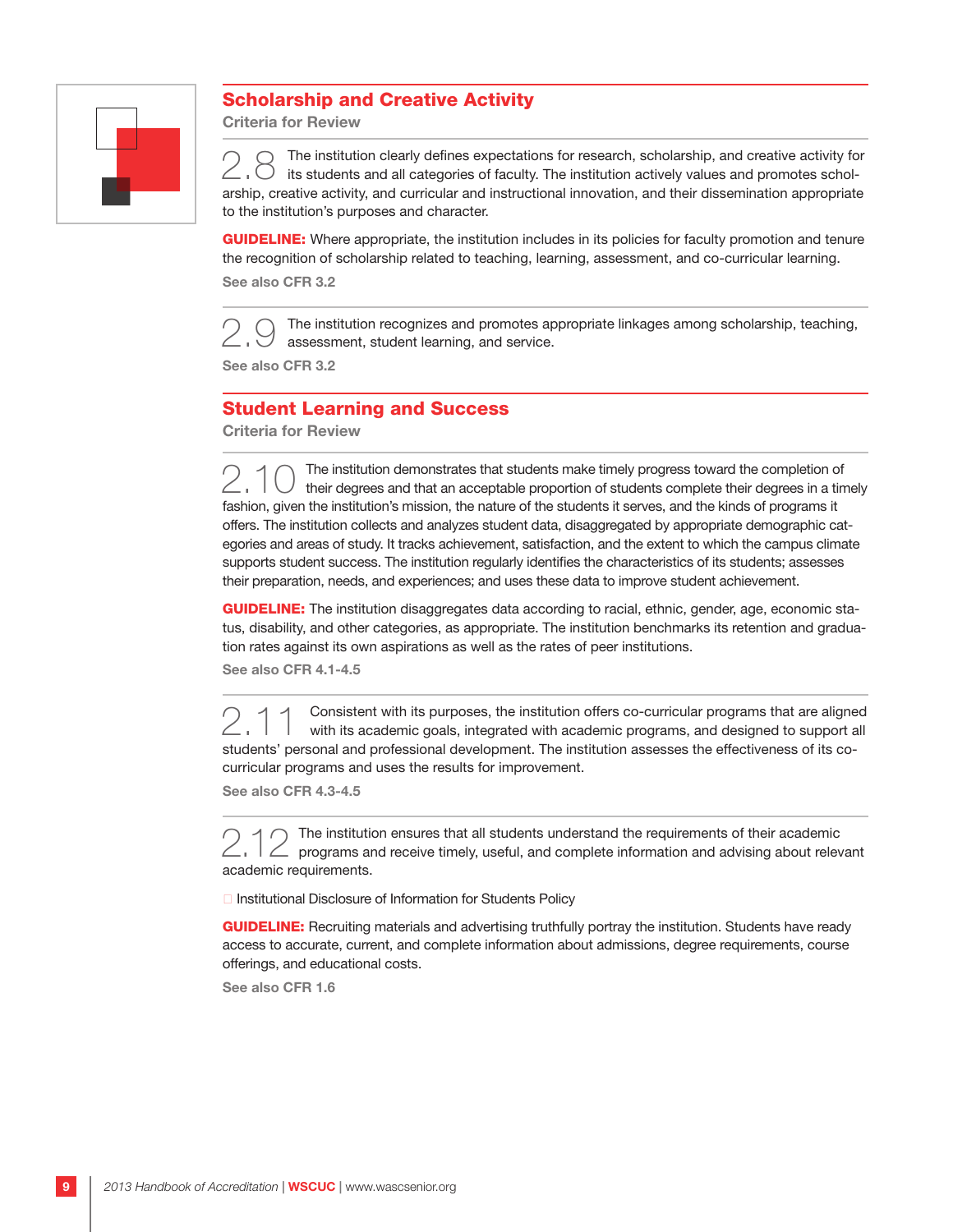

#### Scholarship and Creative Activity

Criteria for Review

The institution clearly defines expectations for research, scholarship, and creative activity for its students and all categories of faculty. The institution actively values and promotes scholarship, creative activity, and curricular and instructional innovation, and their dissemination appropriate to the institution's purposes and character.

**GUIDELINE:** Where appropriate, the institution includes in its policies for faculty promotion and tenure the recognition of scholarship related to teaching, learning, assessment, and co-curricular learning. See also CFR 3.2

The institution recognizes and promotes appropriate linkages among scholarship, teaching, assessment, student learning, and service.

See also CFR 3.2

#### Student Learning and Success

Criteria for Review

 $\gtrsim 10$  The institution demonstrates that students make timely progress toward the completion of their degrees and that an acceptable proportion of students complete their degrees in a timely fashion, given the institution's mission, the nature of the students it serves, and the kinds of programs it offers. The institution collects and analyzes student data, disaggregated by appropriate demographic categories and areas of study. It tracks achievement, satisfaction, and the extent to which the campus climate supports student success. The institution regularly identifies the characteristics of its students; assesses their preparation, needs, and experiences; and uses these data to improve student achievement.

GUIDELINE: The institution disaggregates data according to racial, ethnic, gender, age, economic status, disability, and other categories, as appropriate. The institution benchmarks its retention and graduation rates against its own aspirations as well as the rates of peer institutions.

See also CFR 4.1-4.5

2.11 Consistent with its purposes, the institution offers co-curricular programs that are aligned with its academic goals, integrated with academic programs, and designed to support all students' personal and professional development. The institution assesses the effectiveness of its cocurricular programs and uses the results for improvement.

See also CFR 4.3-4.5

 $\gtrsim$  12 The institution ensures that all students understand the requirements of their academic<br> $\gtrsim$ , 12 programs and receive timely, useful, and complete information and advising about relevant academic requirements.

 $\Box$  Institutional Disclosure of Information for Students Policy

GUIDELINE: Recruiting materials and advertising truthfully portray the institution. Students have ready access to accurate, current, and complete information about admissions, degree requirements, course offerings, and educational costs.

See also CFR 1.6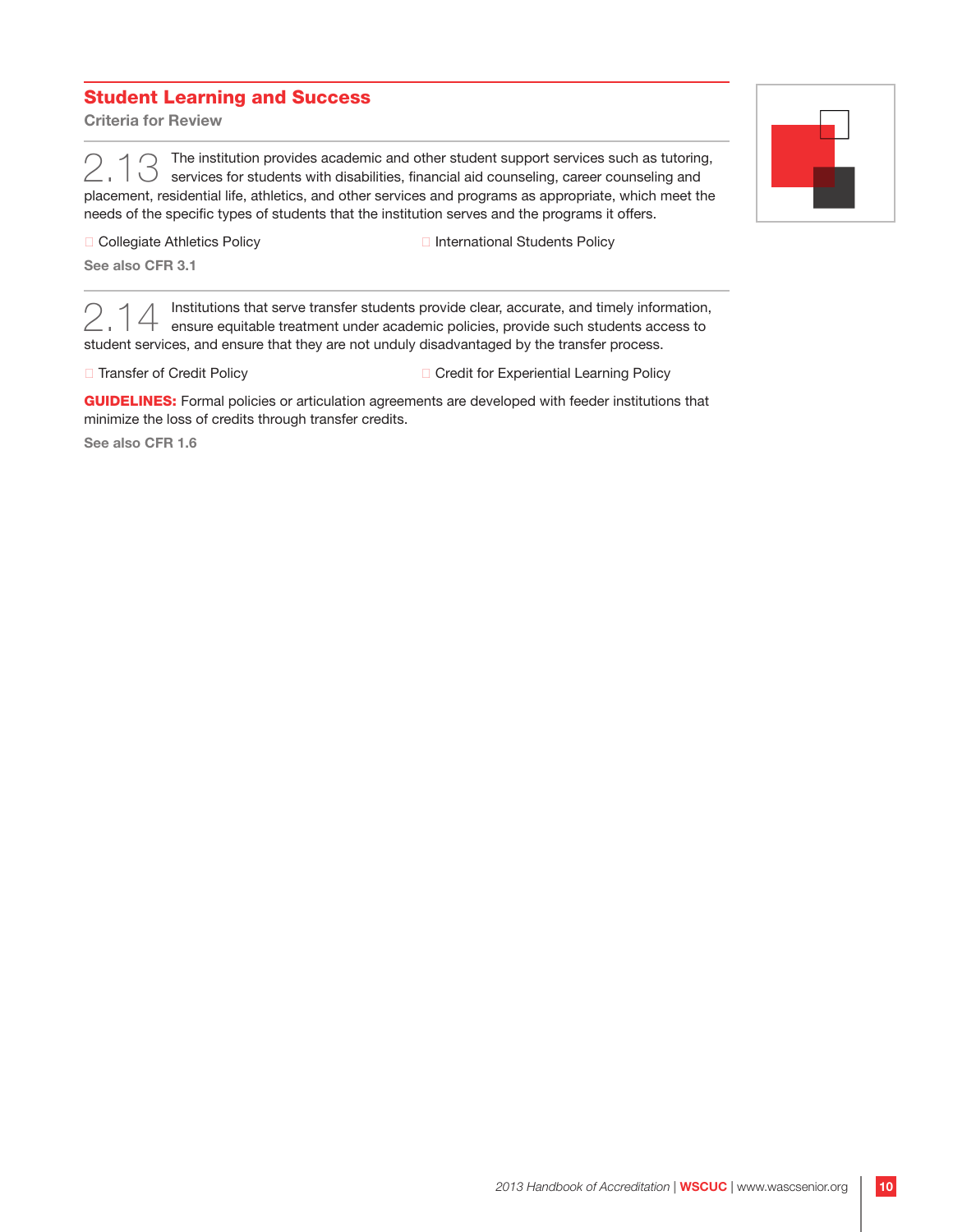#### Student Learning and Success

Criteria for Review

The institution provides academic and other student support services such as tutoring, services for students with disabilities, financial aid counseling, career counseling and placement, residential life, athletics, and other services and programs as appropriate, which meet the needs of the specific types of students that the institution serves and the programs it offers.



□ Collegiate Athletics Policy a International Students Policy

See also CFR 3.1

Institutions that serve transfer students provide clear, accurate, and timely information,<br>
ensure equitable treatment under academic policies, provide such students access to ensure equitable treatment under academic policies, provide such students access to student services, and ensure that they are not unduly disadvantaged by the transfer process.

□ Transfer of Credit Policy a Credit control a Credit for Experiential Learning Policy

GUIDELINES: Formal policies or articulation agreements are developed with feeder institutions that minimize the loss of credits through transfer credits.

See also CFR 1.6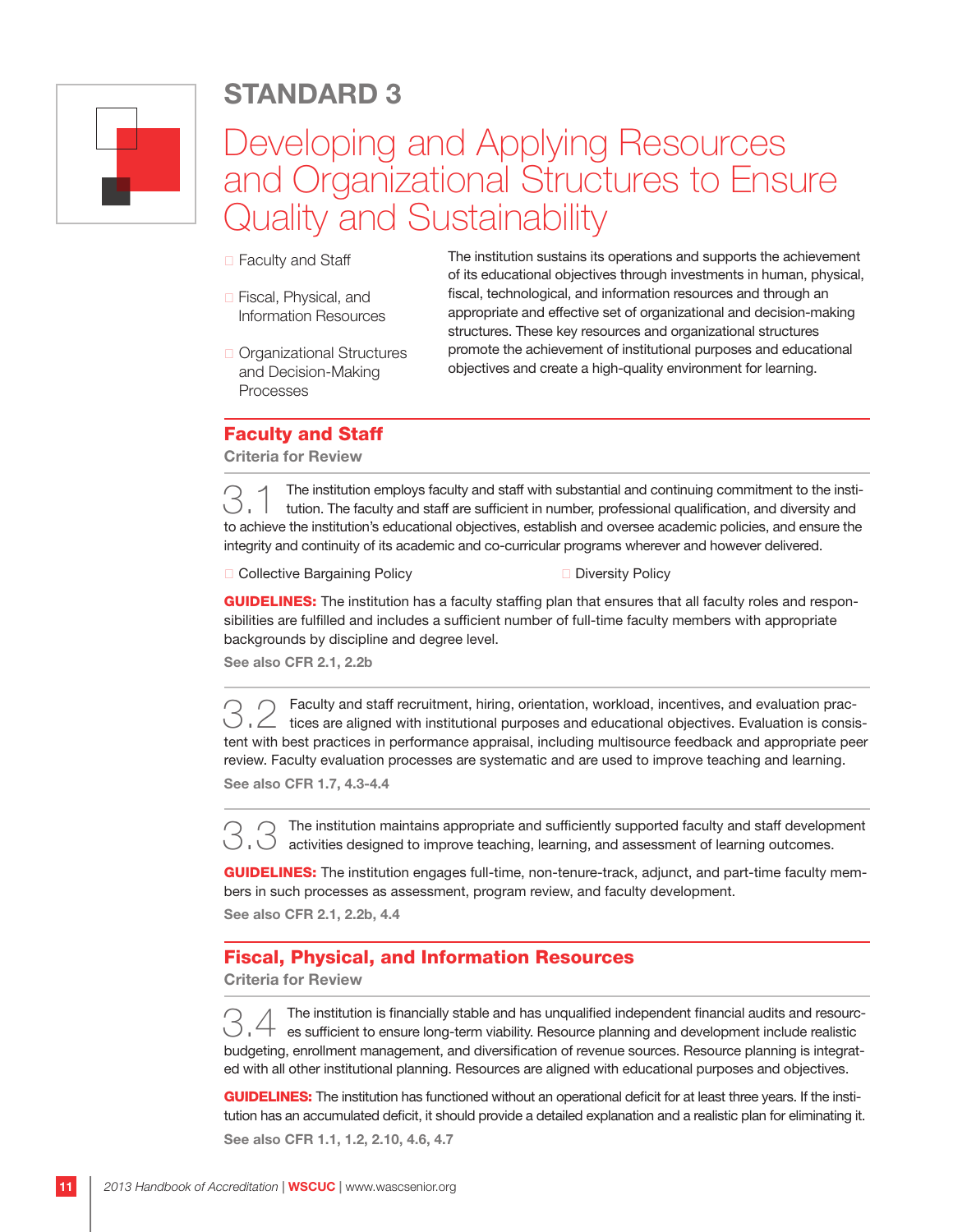

## Developing and Applying Resources and Organizational Structures to Ensure Quality and Sustainability

- $\square$  Faculty and Staff
- **B** Fiscal, Physical, and Information Resources
- □ Organizational Structures and Decision-Making Processes

The institution sustains its operations and supports the achievement of its educational objectives through investments in human, physical, fiscal, technological, and information resources and through an appropriate and effective set of organizational and decision-making structures. These key resources and organizational structures promote the achievement of institutional purposes and educational objectives and create a high-quality environment for learning.

#### Faculty and Staff

Criteria for Review

The institution employs faculty and staff with substantial and continuing commitment to the institution. The faculty and staff are sufficient in number, professional qualification, and diversity and to achieve the institution's educational objectives, establish and oversee academic policies, and ensure the integrity and continuity of its academic and co-curricular programs wherever and however delivered.

□ Collective Bargaining Policy a Diversity Policy

**GUIDELINES:** The institution has a faculty staffing plan that ensures that all faculty roles and responsibilities are fulfilled and includes a sufficient number of full-time faculty members with appropriate backgrounds by discipline and degree level.

See also CFR 2.1, 2.2b

Faculty and staff recruitment, hiring, orientation, workload, incentives, and evaluation prac-<br>Let ices are aligned with institutional purposes and educational objectives. Evaluation is consistent with best practices in performance appraisal, including multisource feedback and appropriate peer review. Faculty evaluation processes are systematic and are used to improve teaching and learning.

See also CFR 1.7, 4.3-4.4

◯ ◯ The institution maintains appropriate and sufficiently supported faculty and staff development<br>
○ C ctivities designed to improve teaching, learning, and assessment of learning outcomes.

GUIDELINES: The institution engages full-time, non-tenure-track, adjunct, and part-time faculty members in such processes as assessment, program review, and faculty development. See also CFR 2.1, 2.2b, 4.4

#### Fiscal, Physical, and Information Resources

Criteria for Review

 $\beta$ ,  $\varphi$  The institution is financially stable and has unqualified independent financial audits and resourc-<br>es sufficient to ensure long-term viability. Resource planning and development include realistic budgeting, enrollment management, and diversification of revenue sources. Resource planning is integrated with all other institutional planning. Resources are aligned with educational purposes and objectives.

GUIDELINES: The institution has functioned without an operational deficit for at least three years. If the institution has an accumulated deficit, it should provide a detailed explanation and a realistic plan for eliminating it.

See also CFR 1.1, 1.2, 2.10, 4.6, 4.7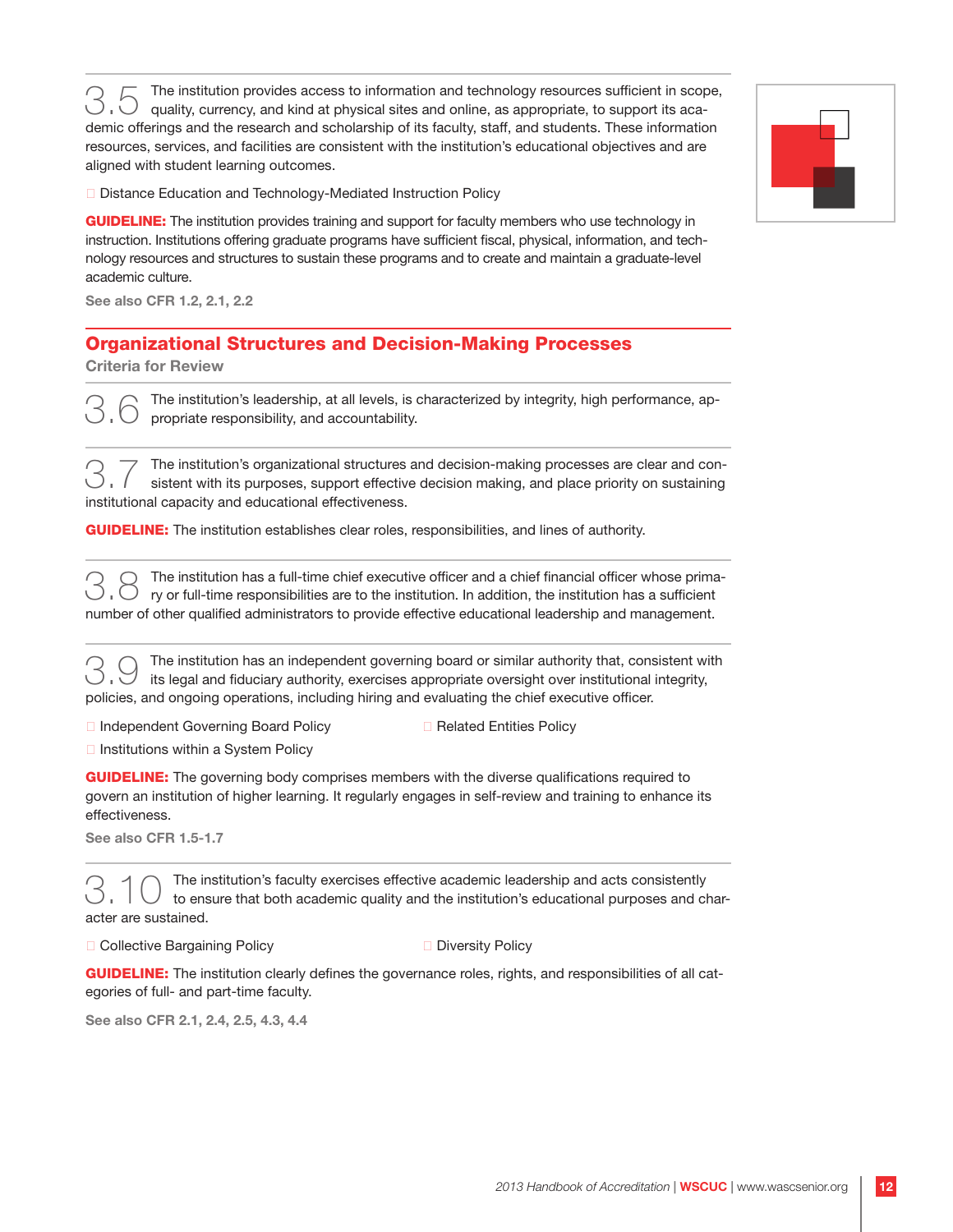$\bigcirc$   $\bigcirc$  The institution provides access to information and technology resources sufficient in scope, quality, currency, and kind at physical sites and online, as appropriate, to support its academic offerings and the research and scholarship of its faculty, staff, and students. These information resources, services, and facilities are consistent with the institution's educational objectives and are aligned with student learning outcomes.

□ Distance Education and Technology-Mediated Instruction Policy

**GUIDELINE:** The institution provides training and support for faculty members who use technology in instruction. Institutions offering graduate programs have sufficient fiscal, physical, information, and technology resources and structures to sustain these programs and to create and maintain a graduate-level academic culture.

See also CFR 1.2, 2.1, 2.2

#### Organizational Structures and Decision-Making Processes

Criteria for Review

The institution's leadership, at all levels, is characterized by integrity, high performance, appropriate responsibility, and accountability.

The institution's organizational structures and decision-making processes are clear and consistent with its purposes, support effective decision making, and place priority on sustaining institutional capacity and educational effectiveness.

GUIDELINE: The institution establishes clear roles, responsibilities, and lines of authority.

 $\bigcirc$   $\bigcirc$  The institution has a full-time chief executive officer and a chief financial officer whose prima-<br> $\bigcirc$ ,  $\bigcirc$  ry or full-time responsibilities are to the institution. In addition, the institution has a suffi number of other qualified administrators to provide effective educational leadership and management.

 $\bigcirc$  The institution has an independent governing board or similar authority that, consistent with its legal and fiduciary authority, exercises appropriate oversight over institutional integrity, policies, and ongoing operations, including hiring and evaluating the chief executive officer.

□ Independent Governing Board Policy

**B** Related Entities Policy

 $\Box$  Institutions within a System Policy

**GUIDELINE:** The governing body comprises members with the diverse qualifications required to govern an institution of higher learning. It regularly engages in self-review and training to enhance its effectiveness.

See also CFR 1.5-1.7

 $\bigcirc$ ,  $\uparrow$   $\bigcirc$  The institution's faculty exercises effective academic leadership and acts consistently to ensure that both academic quality and the institution's educational purposes and character are sustained.

□ Collective Bargaining Policy a Diversity Policy

GUIDELINE: The institution clearly defines the governance roles, rights, and responsibilities of all categories of full- and part-time faculty.

See also CFR 2.1, 2.4, 2.5, 4.3, 4.4

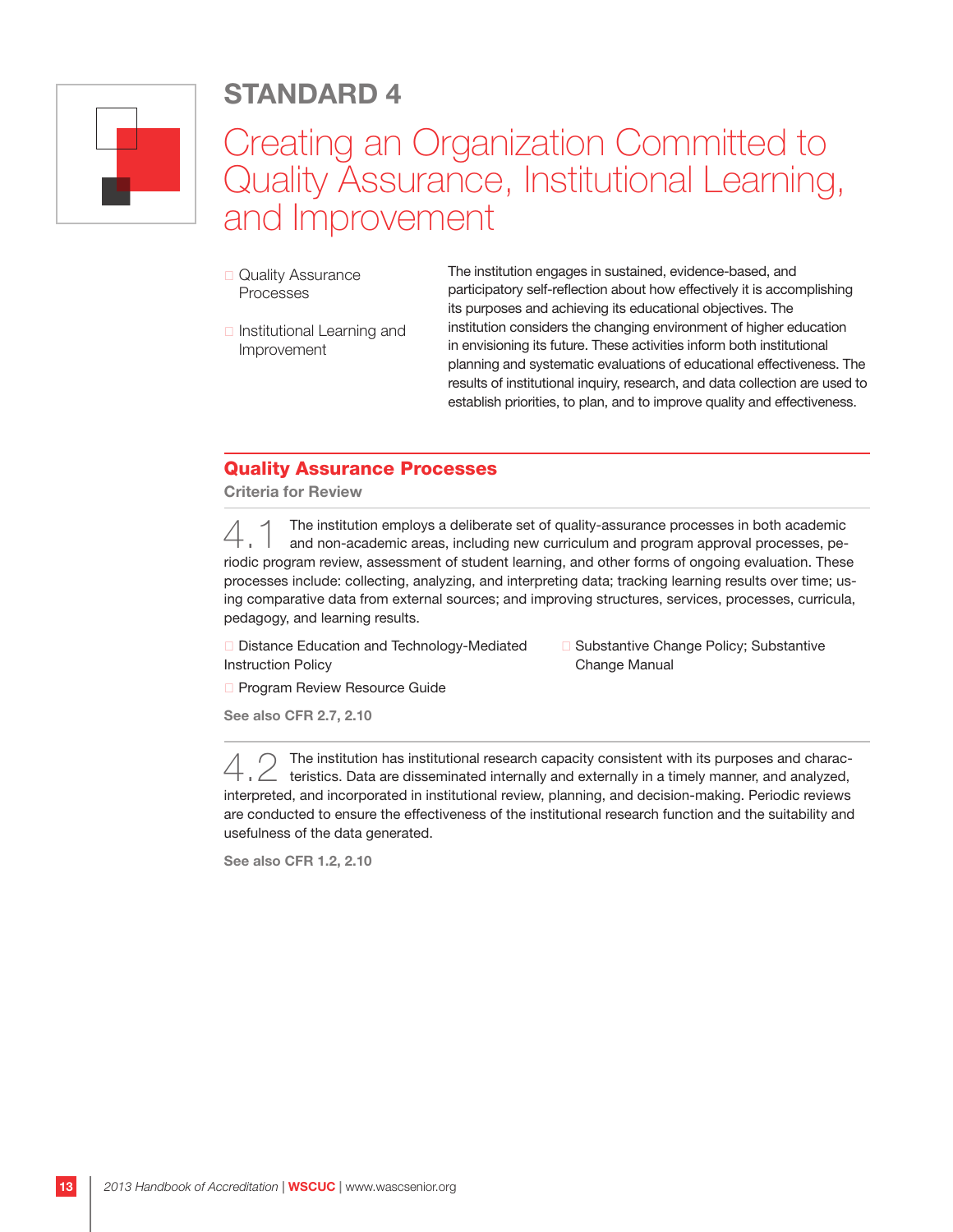

## Creating an Organization Committed to Quality Assurance, Institutional Learning, and Improvement

- **Quality Assurance** Processes
- □ Institutional Learning and Improvement

The institution engages in sustained, evidence-based, and participatory self-reflection about how effectively it is accomplishing its purposes and achieving its educational objectives. The institution considers the changing environment of higher education in envisioning its future. These activities inform both institutional planning and systematic evaluations of educational effectiveness. The results of institutional inquiry, research, and data collection are used to establish priorities, to plan, and to improve quality and effectiveness.

#### Quality Assurance Processes

Criteria for Review

4.1 The institution employs a deliberate set of quality-assurance processes in both academic and non-academic areas, including new curriculum and program approval processes, periodic program review, assessment of student learning, and other forms of ongoing evaluation. These processes include: collecting, analyzing, and interpreting data; tracking learning results over time; using comparative data from external sources; and improving structures, services, processes, curricula, pedagogy, and learning results.

□ Distance Education and Technology-Mediated Instruction Policy

□ Substantive Change Policy; Substantive Change Manual

**Program Review Resource Guide** 

See also CFR 2.7, 2.10

 $\overline{4}$   $\overline{2}$  The institution has institutional research capacity consistent with its purposes and characteristics. Data are disseminated internally and externally in a timely manner, and analyzed, interpreted, and incorporated in institutional review, planning, and decision-making. Periodic reviews are conducted to ensure the effectiveness of the institutional research function and the suitability and usefulness of the data generated.

See also CFR 1.2, 2.10